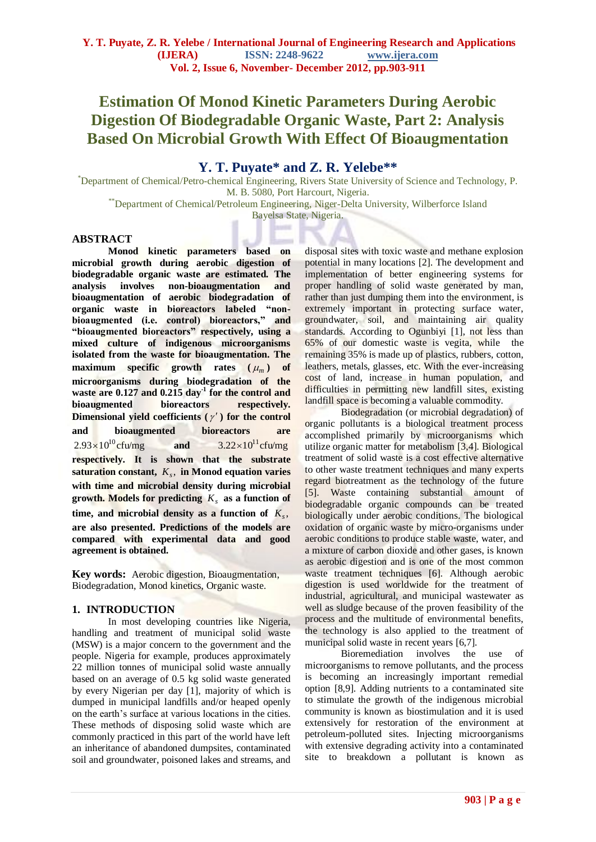# **Estimation Of Monod Kinetic Parameters During Aerobic Digestion Of Biodegradable Organic Waste, Part 2: Analysis Based On Microbial Growth With Effect Of Bioaugmentation**

# **Y. T. Puyate\* and Z. R. Yelebe\*\***

\*Department of Chemical/Petro-chemical Engineering, Rivers State University of Science and Technology, P. M. B. 5080, Port Harcourt, Nigeria. \*\*Department of Chemical/Petroleum Engineering, Niger-Delta University, Wilberforce Island

Bayelsa State, Nigeria.

# **ABSTRACT**

**Monod kinetic parameters based on microbial growth during aerobic digestion of biodegradable organic waste are estimated. The analysis involves non-bioaugmentation and bioaugmentation of aerobic biodegradation of organic waste in bioreactors labeled "nonbioaugmented (i.e. control) bioreactors," and "bioaugmented bioreactors" respectively, using a mixed culture of indigenous microorganisms isolated from the waste for bioaugmentation. The maximum specific growth rates (** *m* **) of microorganisms during biodegradation of the waste are 0.127 and 0.215 day-1 for the control and bioaugmented bioreactors respectively.**  Dimensional yield coefficients  $(\gamma')$  for the control **and bioaugmented bioreactors are**   $2.93 \times 10^{10}$  cfu/mg **and**   $3.22\times10^{11}$  cfu/mg **respectively. It is shown that the substrate**  saturation constant,  $K_s$ , in Monod equation varies **with time and microbial density during microbial growth. Models for predicting**  *Ks* **as a function of**   $\tan \theta$  microbial density as a function of  $K_s$ , **are also presented. Predictions of the models are compared with experimental data and good agreement is obtained.** 

**Key words:** Aerobic digestion, Bioaugmentation, Biodegradation, Monod kinetics, Organic waste.

# **1. INTRODUCTION**

In most developing countries like Nigeria, handling and treatment of municipal solid waste (MSW) is a major concern to the government and the people. Nigeria for example, produces approximately 22 million tonnes of municipal solid waste annually based on an average of 0.5 kg solid waste generated by every Nigerian per day [1], majority of which is dumped in municipal landfills and/or heaped openly on the earth"s surface at various locations in the cities. These methods of disposing solid waste which are commonly practiced in this part of the world have left an inheritance of abandoned dumpsites, contaminated soil and groundwater, poisoned lakes and streams, and disposal sites with toxic waste and methane explosion potential in many locations [2]. The development and implementation of better engineering systems for proper handling of solid waste generated by man, rather than just dumping them into the environment, is extremely important in protecting surface water, groundwater, soil, and maintaining air quality standards. According to Ogunbiyi [1], not less than 65% of our domestic waste is vegita, while the remaining 35% is made up of plastics, rubbers, cotton, leathers, metals, glasses, etc. With the ever-increasing cost of land, increase in human population, and difficulties in permitting new landfill sites, existing landfill space is becoming a valuable commodity.

Biodegradation (or microbial degradation) of organic pollutants is a biological treatment process accomplished primarily by microorganisms which utilize organic matter for metabolism [3,4]. Biological treatment of solid waste is a cost effective alternative to other waste treatment techniques and many experts regard biotreatment as the technology of the future [5]. Waste containing substantial amount of biodegradable organic compounds can be treated biologically under aerobic conditions. The biological oxidation of organic waste by micro-organisms under aerobic conditions to produce stable waste, water, and a mixture of carbon dioxide and other gases, is known as aerobic digestion and is one of the most common waste treatment techniques [6]. Although aerobic digestion is used worldwide for the treatment of industrial, agricultural, and municipal wastewater as well as sludge because of the proven feasibility of the process and the multitude of environmental benefits, the technology is also applied to the treatment of municipal solid waste in recent years [6,7].

Bioremediation involves the use of microorganisms to remove pollutants, and the process is becoming an increasingly important remedial option [8,9]. Adding nutrients to a contaminated site to stimulate the growth of the indigenous microbial community is known as biostimulation and it is used extensively for restoration of the environment at petroleum-polluted sites. Injecting microorganisms with extensive degrading activity into a contaminated site to breakdown a pollutant is known as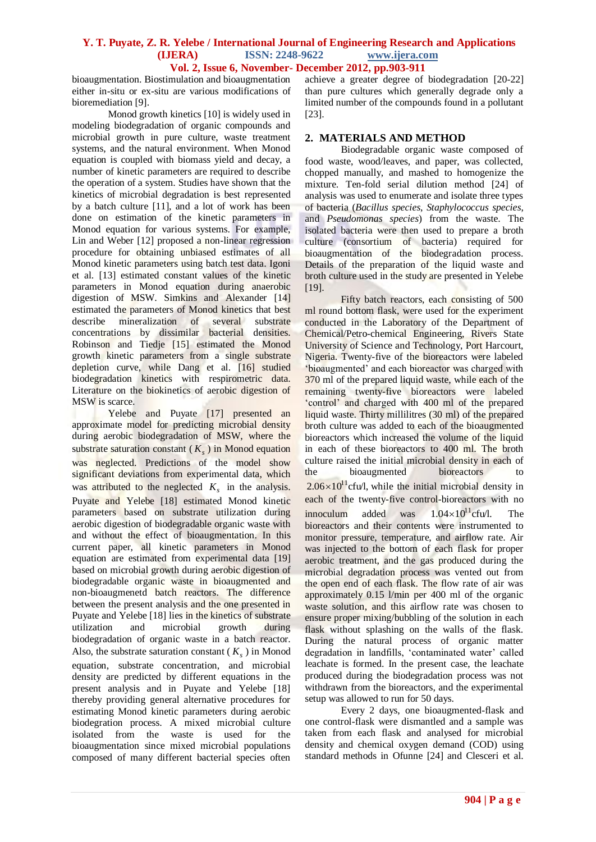bioaugmentation. Biostimulation and bioaugmentation either in-situ or ex-situ are various modifications of bioremediation [9].

Monod growth kinetics [10] is widely used in modeling biodegradation of organic compounds and microbial growth in pure culture, waste treatment systems, and the natural environment. When Monod equation is coupled with biomass yield and decay, a number of kinetic parameters are required to describe the operation of a system. Studies have shown that the kinetics of microbial degradation is best represented by a batch culture [11], and a lot of work has been done on estimation of the kinetic parameters in Monod equation for various systems. For example, Lin and Weber [12] proposed a non-linear regression procedure for obtaining unbiased estimates of all Monod kinetic parameters using batch test data. Igoni et al. [13] estimated constant values of the kinetic parameters in Monod equation during anaerobic digestion of MSW. Simkins and Alexander [14] estimated the parameters of Monod kinetics that best describe mineralization of several substrate concentrations by dissimilar bacterial densities. Robinson and Tiedje [15] estimated the Monod growth kinetic parameters from a single substrate depletion curve, while Dang et al. [16] studied biodegradation kinetics with respirometric data. Literature on the biokinetics of aerobic digestion of MSW is scarce.

Yelebe and Puyate [17] presented an approximate model for predicting microbial density during aerobic biodegradation of MSW, where the substrate saturation constant  $(K_s)$  in Monod equation was neglected. Predictions of the model show significant deviations from experimental data, which was attributed to the neglected  $K<sub>s</sub>$  in the analysis. Puyate and Yelebe [18] estimated Monod kinetic parameters based on substrate utilization during aerobic digestion of biodegradable organic waste with and without the effect of bioaugmentation. In this current paper, all kinetic parameters in Monod equation are estimated from experimental data [19] based on microbial growth during aerobic digestion of biodegradable organic waste in bioaugmented and non-bioaugmenetd batch reactors. The difference between the present analysis and the one presented in Puyate and Yelebe [18] lies in the kinetics of substrate utilization and microbial growth during biodegradation of organic waste in a batch reactor. Also, the substrate saturation constant ( $K<sub>s</sub>$ ) in Monod equation, substrate concentration, and microbial density are predicted by different equations in the present analysis and in Puyate and Yelebe [18] thereby providing general alternative procedures for estimating Monod kinetic parameters during aerobic biodegration process. A mixed microbial culture isolated from the waste is used for the bioaugmentation since mixed microbial populations composed of many different bacterial species often

achieve a greater degree of biodegradation [20-22] than pure cultures which generally degrade only a limited number of the compounds found in a pollutant [23].

# **2. MATERIALS AND METHOD**

Biodegradable organic waste composed of food waste, wood/leaves, and paper, was collected, chopped manually, and mashed to homogenize the mixture. Ten-fold serial dilution method [24] of analysis was used to enumerate and isolate three types of bacteria (*Bacillus species*, *Staphylococcus species*, and *Pseudomonas species*) from the waste. The isolated bacteria were then used to prepare a broth culture (consortium of bacteria) required for bioaugmentation of the biodegradation process. Details of the preparation of the liquid waste and broth culture used in the study are presented in Yelebe [19].

Fifty batch reactors, each consisting of 500 ml round bottom flask, were used for the experiment conducted in the Laboratory of the Department of Chemical/Petro-chemical Engineering, Rivers State University of Science and Technology, Port Harcourt, Nigeria. Twenty-five of the bioreactors were labeled "bioaugmented" and each bioreactor was charged with 370 ml of the prepared liquid waste, while each of the remaining twenty-five bioreactors were labeled "control" and charged with 400 ml of the prepared liquid waste. Thirty millilitres (30 ml) of the prepared broth culture was added to each of the bioaugmented bioreactors which increased the volume of the liquid in each of these bioreactors to 400 ml. The broth culture raised the initial microbial density in each of the bioaugmented bioreactors to  $2.06 \times 10^{11}$  cfu/l, while the initial microbial density in each of the twenty-five control-bioreactors with no innoculum added was  $1.04 \times 10^{11}$  cfu/l. The bioreactors and their contents were instrumented to monitor pressure, temperature, and airflow rate. Air was injected to the bottom of each flask for proper aerobic treatment, and the gas produced during the microbial degradation process was vented out from the open end of each flask. The flow rate of air was approximately 0.15 l/min per 400 ml of the organic waste solution, and this airflow rate was chosen to ensure proper mixing/bubbling of the solution in each flask without splashing on the walls of the flask. During the natural process of organic matter degradation in landfills, 'contaminated water' called leachate is formed. In the present case, the leachate produced during the biodegradation process was not withdrawn from the bioreactors, and the experimental setup was allowed to run for 50 days.

Every 2 days, one bioaugmented-flask and one control-flask were dismantled and a sample was taken from each flask and analysed for microbial density and chemical oxygen demand (COD) using standard methods in Ofunne [24] and Clesceri et al.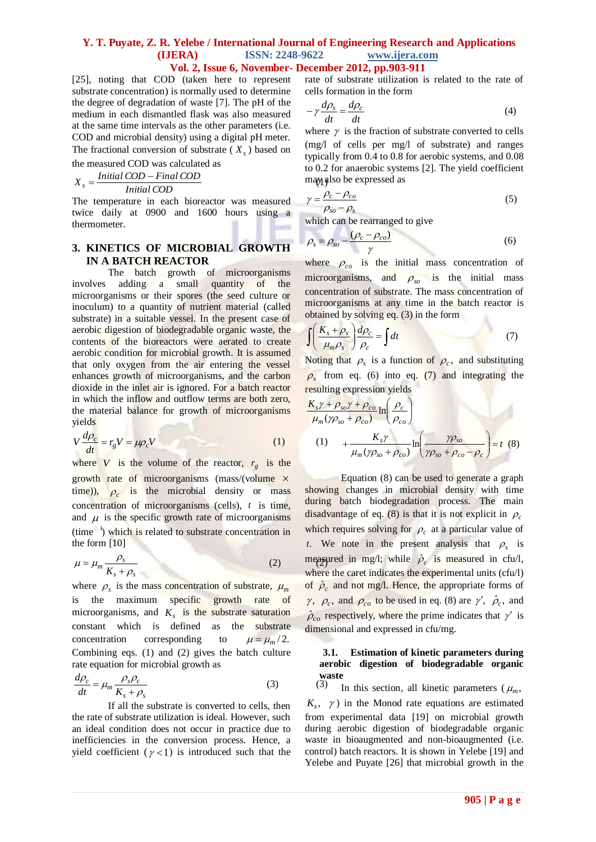[25], noting that COD (taken here to represent substrate concentration) is normally used to determine the degree of degradation of waste [7]. The pH of the medium in each dismantled flask was also measured at the same time intervals as the other parameters (i.e. COD and microbial density) using a digital pH meter. The fractional conversion of substrate  $(X<sub>s</sub>)$  based on

the measured COD was calculated as

$$
X_s = \frac{Initial\, COD - Final\, COD}{Initial\, COD}
$$

The temperature in each bioreactor was measured twice daily at 0900 and 1600 hours using a thermometer.

# **3. KINETICS OF MICROBIAL GROWTH IN A BATCH REACTOR**

The batch growth of microorganisms involves adding a small quantity of the microorganisms or their spores (the seed culture or inoculum) to a quantity of nutrient material (called substrate) in a suitable vessel. In the present case of aerobic digestion of biodegradable organic waste, the contents of the bioreactors were aerated to create aerobic condition for microbial growth. It is assumed that only oxygen from the air entering the vessel enhances growth of microorganisms, and the carbon dioxide in the inlet air is ignored. For a batch reactor in which the inflow and outflow terms are both zero, the material balance for growth of microorganisms yields

$$
V\frac{d\rho_c}{dt} = r_g V = \mu \rho_c V \tag{1}
$$

where *V* is the volume of the reactor,  $r_g$  is the growth rate of microorganisms (mass/(volume  $\times$ time)),  $\rho_c$  is the microbial density or mass concentration of microorganisms (cells), *t* is time, and  $\mu$  is the specific growth rate of microorganisms  $(\text{time}^{\square})$  which is related to substrate concentration in the form [10]

$$
\mu = \mu_m \frac{\rho_s}{K_s + \rho_s} \tag{2}
$$

where  $\rho_s$  is the mass concentration of substrate,  $\mu_m$ is the maximum specific growth rate of microorganisms, and  $K<sub>s</sub>$  is the substrate saturation constant which is defined as the substrate concentration corresponding to  $\mu = \mu_m / 2.$ Combining eqs. (1) and (2) gives the batch culture rate equation for microbial growth as

$$
\frac{d\rho_c}{dt} = \mu_m \frac{\rho_s \rho_c}{K_s + \rho_s} \tag{3}
$$

If all the substrate is converted to cells, then the rate of substrate utilization is ideal. However, such an ideal condition does not occur in practice due to inefficiencies in the conversion process. Hence, a yield coefficient ( $\gamma$ <1) is introduced such that the rate of substrate utilization is related to the rate of cells formation in the form

$$
-\gamma \frac{d\rho_s}{dt} = \frac{d\rho_c}{dt} \tag{4}
$$

may also be expressed as where  $\gamma$  is the fraction of substrate converted to cells (mg/l of cells per mg/l of substrate) and ranges typically from 0.4 to 0.8 for aerobic systems, and 0.08 to 0.2 for anaerobic systems [2]. The yield coefficient

$$
\gamma = \frac{\rho_c - \rho_{co}}{\rho_{so} - \rho_s} \tag{5}
$$

which can be rearranged to give

$$
\rho_s = \rho_{so} - \frac{(\rho_c - \rho_{co})}{\gamma}
$$
\n(6)

where  $\rho_{co}$  is the initial mass concentration of microorganisms, and  $\rho_{so}$  is the initial mass concentration of substrate. The mass concentration of microorganisms at any time in the batch reactor is obtained by solving eq. (3) in the form

$$
\int \left(\frac{K_s + \rho_s}{\mu_m \rho_s}\right) \frac{d\rho_c}{\rho_c} = \int dt \tag{7}
$$

Noting that  $\rho_s$  is a function of  $\rho_c$ , and substituting  $\rho_s$  from eq. (6) into eq. (7) and integrating the resulting expression yields

$$
\frac{K_s \gamma + \rho_{so} \gamma + \rho_{co}}{\mu_m (\gamma \rho_{so} + \rho_{co})} \ln \left( \frac{\rho_c}{\rho_{co}} \right)
$$
  
(1) 
$$
+ \frac{K_s \gamma}{\mu_m (\gamma \rho_{so} + \rho_{co})} \ln \left( \frac{\gamma \rho_{so}}{\gamma \rho_{so} + \rho_{co} - \rho_c} \right) = t
$$
(8)

Equation (8) can be used to generate a graph showing changes in microbial density with time during batch biodegradation process. The main disadvantage of eq. (8) is that it is not explicit in  $\rho_c$ which requires solving for  $\rho_c$  at a particular value of *t*. We note in the present analysis that  $\rho_s$  is measured in mg/l; while  $\hat{\rho}_c$  is measured in cfu/l, where the caret indicates the experimental units (cfu/l) of  $\rho_c$  and not mg/l. Hence, the appropriate forms of  $\gamma$ ,  $\rho_c$ , and  $\rho_{co}$  to be used in eq. (8) are  $\gamma'$ ,  $\hat{\rho}_c$ , and  $\hat{\rho}_{co}$  respectively, where the prime indicates that  $\gamma'$  is dimensional and expressed in cfu/mg.

# **3.1. Estimation of kinetic parameters during aerobic digestion of biodegradable organic waste**<br> $(3)$

In this section, all kinetic parameters ( $\mu_m$ ,  $K_s$ ,  $\gamma$ ) in the Monod rate equations are estimated from experimental data [19] on microbial growth during aerobic digestion of biodegradable organic waste in bioaugmented and non-bioaugmented (i.e. control) batch reactors. It is shown in Yelebe [19] and Yelebe and Puyate [26] that microbial growth in the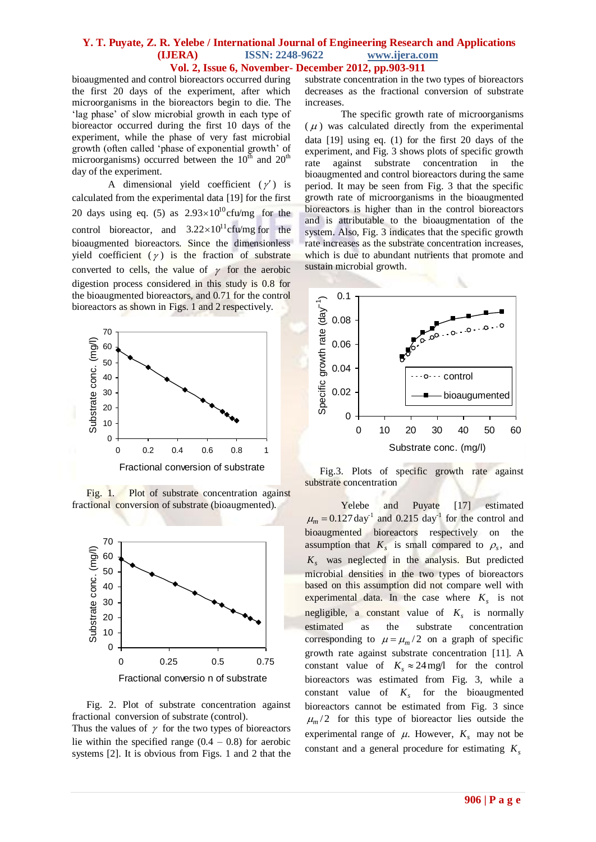bioaugmented and control bioreactors occurred during the first 20 days of the experiment, after which microorganisms in the bioreactors begin to die. The 'lag phase' of slow microbial growth in each type of bioreactor occurred during the first 10 days of the experiment, while the phase of very fast microbial growth (often called "phase of exponential growth" of microorganisms) occurred between the  $10<sup>th</sup>$  and  $20<sup>th</sup>$ day of the experiment.

A dimensional yield coefficient  $(\gamma')$  is calculated from the experimental data [19] for the first 20 days using eq. (5) as  $2.93 \times 10^{10}$  cfu/mg for the control bioreactor, and  $3.22 \times 10^{11}$ cfu/mg for the bioaugmented bioreactors. Since the dimensionless yield coefficient  $(y)$  is the fraction of substrate converted to cells, the value of  $\gamma$  for the aerobic digestion process considered in this study is 0.8 for the bioaugmented bioreactors, and 0.71 for the control bioreactors as shown in Figs. 1 and 2 respectively.



Fig. 1. Plot of substrate concentration against fractional conversion of substrate (bioaugmented).



Fig. 2. Plot of substrate concentration against fractional conversion of substrate (control).

Thus the values of  $\gamma$  for the two types of bioreactors lie within the specified range  $(0.4 - 0.8)$  for aerobic systems [2]. It is obvious from Figs. 1 and 2 that the

substrate concentration in the two types of bioreactors decreases as the fractional conversion of substrate increases.

The specific growth rate of microorganisms  $(\mu)$  was calculated directly from the experimental data [19] using eq. (1) for the first 20 days of the experiment, and Fig. 3 shows plots of specific growth rate against substrate concentration in the bioaugmented and control bioreactors during the same period. It may be seen from Fig. 3 that the specific growth rate of microorganisms in the bioaugmented bioreactors is higher than in the control bioreactors and is attributable to the bioaugmentation of the system. Also, Fig. 3 indicates that the specific growth rate increases as the substrate concentration increases, which is due to abundant nutrients that promote and sustain microbial growth.



 Fig.3. Plots of specific growth rate against substrate concentration

Yelebe and Puyate [17] estimated  $\mu_m = 0.127 \text{ day}^{-1}$  and 0.215 day<sup>-1</sup> for the control and bioaugmented bioreactors respectively on the assumption that  $K_s$  is small compared to  $\rho_s$ , and *Ks* was neglected in the analysis. But predicted microbial densities in the two types of bioreactors based on this assumption did not compare well with experimental data. In the case where  $K_s$  is not negligible, a constant value of  $K<sub>s</sub>$  is normally estimated as the substrate concentration corresponding to  $\mu = \mu_m/2$  on a graph of specific growth rate against substrate concentration [11]. A constant value of  $K_s \approx 24 \text{ mg/l}$  for the control bioreactors was estimated from Fig. 3, while a constant value of  $K<sub>s</sub>$  for the bioaugmented bioreactors cannot be estimated from Fig. 3 since  $\mu_m/2$  for this type of bioreactor lies outside the experimental range of  $\mu$ . However,  $K_s$  may not be constant and a general procedure for estimating *Ks*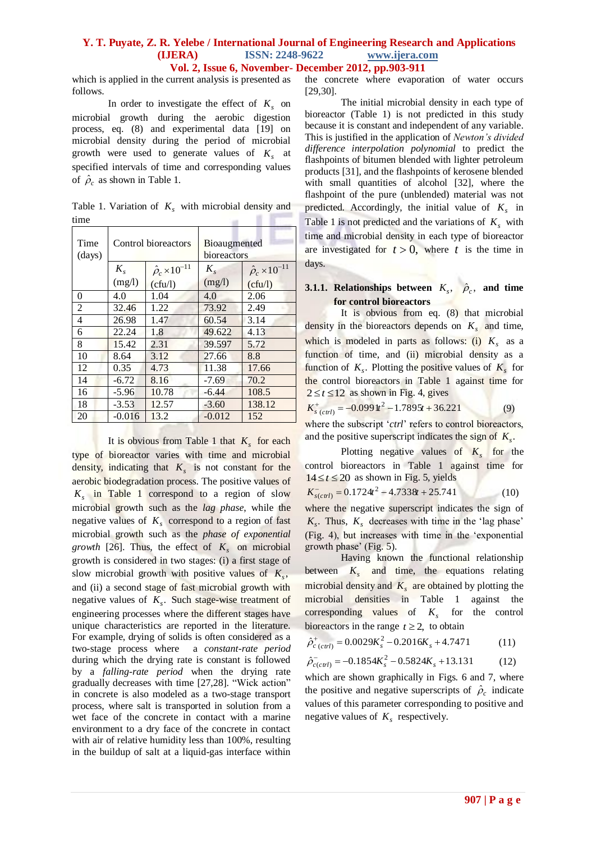which is applied in the current analysis is presented as follows.

In order to investigate the effect of  $K_s$  on microbial growth during the aerobic digestion process, eq. (8) and experimental data [19] on microbial density during the period of microbial growth were used to generate values of  $K<sub>s</sub>$  at specified intervals of time and corresponding values of  $\hat{\rho}_c$  as shown in Table 1.

Table 1. Variation of  $K<sub>s</sub>$  with microbial density and 青玉 time

| Time<br>(days) | Control bioreactors |                                | <b>Bioaugmented</b><br>bioreactors |                                |
|----------------|---------------------|--------------------------------|------------------------------------|--------------------------------|
|                | $K_{s}$             | $\hat{\rho}_c \times 10^{-11}$ | $K_{s}$                            | $\hat{\rho}_c \times 10^{-11}$ |
|                | (mg/l)              | (cfu/l)                        | (mg/l)                             | (cfu/l)                        |
| 0              | 4.0                 | 1.04                           | 4.0                                | 2.06                           |
| $\overline{2}$ | 32.46               | 1.22                           | 73.92                              | 2.49                           |
| 4              | 26.98               | 1.47                           | 60.54                              | 3.14                           |
| 6              | 22.24               | 1.8                            | 49.622                             | 4.13                           |
| 8              | 15.42               | 2.31                           | 39.597                             | 5.72                           |
| 10             | 8.64                | 3.12                           | 27.66                              | 8.8                            |
| 12             | 0.35                | 4.73                           | 11.38                              | 17.66                          |
| 14             | $-6.72$             | 8.16                           | $-7.69$                            | 70.2                           |
| 16             | $-5.96$             | 10.78                          | $-6.44$                            | 108.5                          |
| 18             | $-3.53$             | 12.57                          | $-3.60$                            | 138.12                         |
| 20             | $-0.016$            | 13.2                           | $-0.012$                           | 152                            |

It is obvious from Table 1 that  $K_s$  for each type of bioreactor varies with time and microbial density, indicating that  $K_s$  is not constant for the aerobic biodegradation process. The positive values of *Ks* in Table 1 correspond to a region of slow microbial growth such as the *lag phase*, while the negative values of  $K<sub>s</sub>$  correspond to a region of fast microbial growth such as the *phase of exponential growth* [26]. Thus, the effect of  $K_s$  on microbial growth is considered in two stages: (i) a first stage of slow microbial growth with positive values of  $K_s$ , and (ii) a second stage of fast microbial growth with negative values of  $K_s$ . Such stage-wise treatment of engineering processes where the different stages have unique characteristics are reported in the literature. For example, drying of solids is often considered as a two-stage process where a *constant-rate period* during which the drying rate is constant is followed by a *falling-rate period* when the drying rate gradually decreases with time [27,28]. "Wick action" in concrete is also modeled as a two-stage transport process, where salt is transported in solution from a wet face of the concrete in contact with a marine environment to a dry face of the concrete in contact with air of relative humidity less than 100%, resulting in the buildup of salt at a liquid-gas interface within

the concrete where evaporation of water occurs [29,30].

The initial microbial density in each type of bioreactor (Table 1) is not predicted in this study because it is constant and independent of any variable. This is justified in the application of *Newton's divided difference interpolation polynomial* to predict the flashpoints of bitumen blended with lighter petroleum products [31], and the flashpoints of kerosene blended with small quantities of alcohol [32], where the flashpoint of the pure (unblended) material was not predicted. Accordingly, the initial value of  $K<sub>s</sub>$  in Table 1 is not predicted and the variations of  $K<sub>s</sub>$  with time and microbial density in each type of bioreactor are investigated for  $t > 0$ , where t is the time in days.

# **3.1.1. Relationships between**  $K_s$ ,  $\hat{\rho}_c$ , and time **for control bioreactors**

It is obvious from eq.  $(8)$  that microbial density in the bioreactors depends on  $K_s$  and time, which is modeled in parts as follows: (i)  $K_s$  as a function of time, and (ii) microbial density as a function of  $K_s$ . Plotting the positive values of  $K_s$  for the control bioreactors in Table 1 against time for  $2 \le t \le 12$  as shown in Fig. 4, gives

$$
K_{s\ (ctrl)}^{+} = -0.099 \, \text{lt}^2 - 1.789 \, 5t + 36.221 \tag{9}
$$

where the subscript '*ctrl*' refers to control bioreactors, and the positive superscript indicates the sign of  $K_s$ .

Plotting negative values of  $K_s$  for the control bioreactors in Table 1 against time for  $14 \le t \le 20$  as shown in Fig. 5, yields

$$
K_{s(c\tau t)}^{-} = 0.1724t^{2} - 4.7338t + 25.741\tag{10}
$$

where the negative superscript indicates the sign of  $K_s$ . Thus,  $K_s$  decreases with time in the 'lag phase' (Fig. 4), but increases with time in the "exponential growth phase' (Fig.  $5$ ).

Having known the functional relationship between  $K_s$  and time, the equations relating microbial density and  $K_s$  are obtained by plotting the microbial densities in Table 1 against the corresponding values of *Ks* for the control bioreactors in the range  $t \ge 2$ , to obtain

$$
\hat{\rho}_{c\ (ctrl)}^{+} = 0.0029K_s^2 - 0.2016K_s + 4.7471\tag{11}
$$

$$
\hat{\rho}_{c(c\pi l)}^{-} = -0.1854K_s^2 - 0.5824K_s + 13.131\tag{12}
$$

which are shown graphically in Figs. 6 and 7, where the positive and negative superscripts of  $\rho_c$  indicate values of this parameter corresponding to positive and negative values of  $K<sub>s</sub>$  respectively.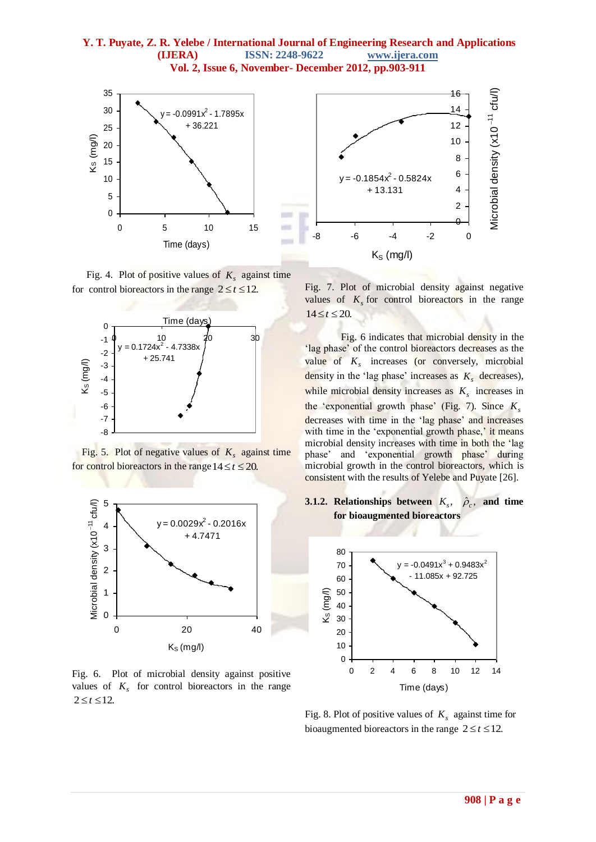

Fig. 4. Plot of positive values of  $K_s$  against time for control bioreactors in the range  $2 \le t \le 12$ .



 Fig. 5. Plot of negative values of *Ks* against time for control bioreactors in the range  $14 \le t \le 20$ .



Fig. 6. Plot of microbial density against positive values of  $K<sub>s</sub>$  for control bioreactors in the range  $2 \le t \le 12$ .



Fig. 7. Plot of microbial density against negative values of  $K<sub>s</sub>$  for control bioreactors in the range  $14 \le t \le 20$ .

Fig. 6 indicates that microbial density in the 'lag phase' of the control bioreactors decreases as the value of  $K<sub>s</sub>$  increases (or conversely, microbial density in the 'lag phase' increases as  $K_s$  decreases), while microbial density increases as  $K<sub>s</sub>$  increases in the "exponential growth phase" (Fig. 7). Since *Ks* decreases with time in the 'lag phase' and increases with time in the 'exponential growth phase,' it means microbial density increases with time in both the "lag phase' and 'exponential growth phase' during microbial growth in the control bioreactors, which is consistent with the results of Yelebe and Puyate [26].





Fig. 8. Plot of positive values of  $K<sub>s</sub>$  against time for bioaugmented bioreactors in the range  $2 \le t \le 12$ .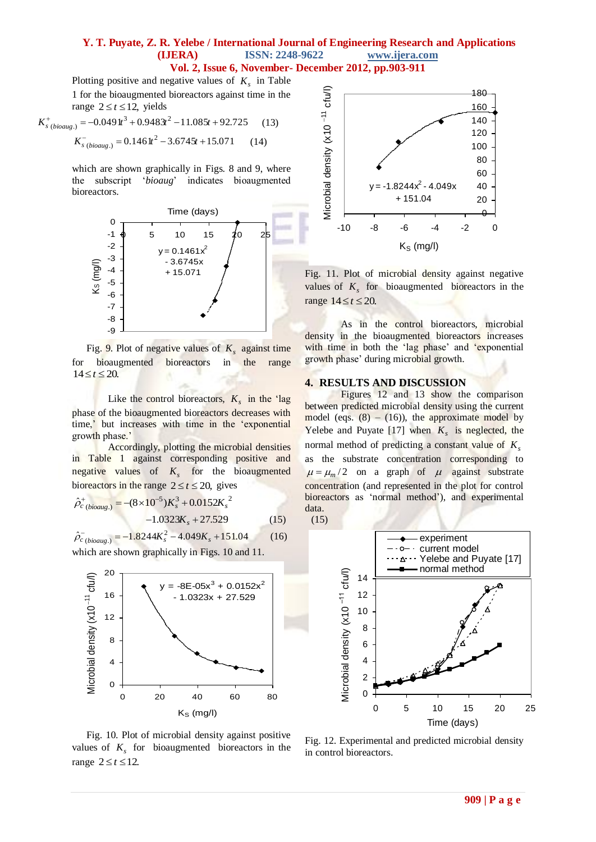Plotting positive and negative values of  $K<sub>s</sub>$  in Table 1 for the bioaugmented bioreactors against time in the range  $2 \le t \le 12$ , yields

$$
K_{s\ (biouog.)}^{+} = -0.049 \, \text{lt}^{3} + 0.948 \, \text{lt}^{2} - 11.085t + 92.725 \tag{13}
$$
\n
$$
K_{s\ (biouog.)}^{-} = 0.146 \, \text{lt}^{2} - 3.6745t + 15.071 \tag{14}
$$

which are shown graphically in Figs. 8 and 9, where the subscript "*bioaug*" indicates bioaugmented bioreactors.



Fig. 9. Plot of negative values of *Ks* against time for bioaugmented bioreactors in the range  $14 \le t \le 20$ .

Like the control bioreactors,  $K_s$  in the 'lag phase of the bioaugmented bioreactors decreases with time,' but increases with time in the 'exponential growth phase.'

Accordingly, plotting the microbial densities in Table 1 against corresponding positive and negative values of  $K_s$  for the bioaugmented bioreactors in the range  $2 \le t \le 20$ , gives

5 3 2 ( .) ˆ *<sup>c</sup> bioaug* (810 )*K<sup>s</sup>* 0.0152*K<sup>s</sup>* 1.0323*K<sup>s</sup>* 27.529 (15) (15)

 $\hat{\rho}_{c\ (bioaug.)}^{-} = -1.8244K_s^2 - 4.049K_s + 151.04$  $(16)$ 

which are shown graphically in Figs. 10 and 11.



Fig. 10. Plot of microbial density against positive values of  $K<sub>s</sub>$  for bioaugmented bioreactors in the range  $2 \le t \le 12$ .



Fig. 11. Plot of microbial density against negative values of  $K<sub>s</sub>$  for bioaugmented bioreactors in the range  $14 \le t \le 20$ .

As in the control bioreactors, microbial density in the bioaugmented bioreactors increases with time in both the 'lag phase' and 'exponential growth phase" during microbial growth.

#### **4. RESULTS AND DISCUSSION**

Figures 12 and 13 show the comparison between predicted microbial density using the current model (eqs.  $(8) - (16)$ ), the approximate model by Yelebe and Puyate  $[17]$  when  $K_s$  is neglected, the normal method of predicting a constant value of *Ks* as the substrate concentration corresponding to  $\mu = \mu_m/2$  on a graph of  $\mu$  against substrate concentration (and represented in the plot for control bioreactors as 'normal method'), and experimental data.



Fig. 12. Experimental and predicted microbial density in control bioreactors.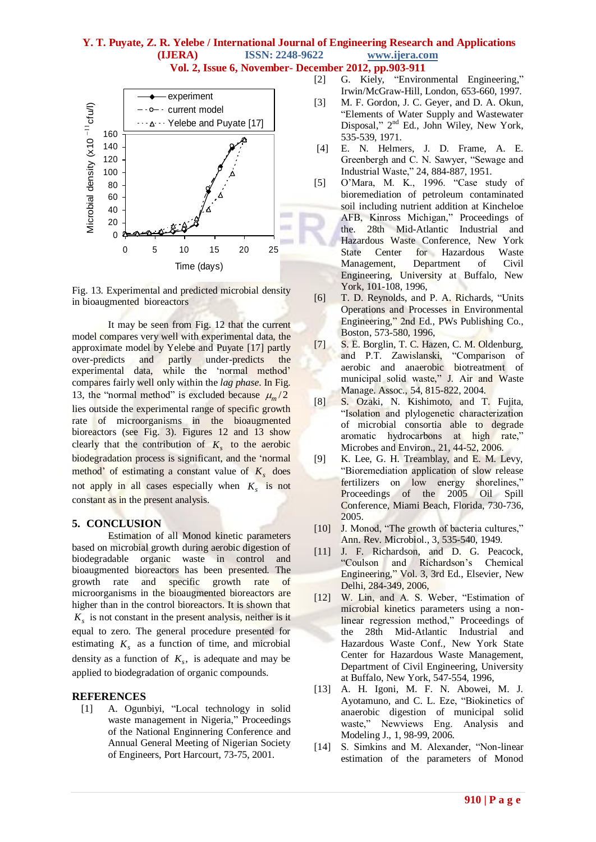# **Y. T. Puyate, Z. R. Yelebe / International Journal of Engineering Research and Applications (IJERA) ISSN: 2248-9622 www.ijera.com**

**Vol. 2, Issue 6, November- December 2012, pp.903-911**



Fig. 13. Experimental and predicted microbial density in bioaugmented bioreactors

It may be seen from Fig. 12 that the current model compares very well with experimental data, the approximate model by Yelebe and Puyate [17] partly over-predicts and partly under-predicts the experimental data, while the 'normal method' compares fairly well only within the *lag phase*. In Fig. 13, the "normal method" is excluded because  $\mu_m/2$ lies outside the experimental range of specific growth rate of microorganisms in the bioaugmented bioreactors (see Fig. 3). Figures 12 and 13 show clearly that the contribution of  $K_s$  to the aerobic biodegradation process is significant, and the "normal method' of estimating a constant value of  $K_s$  does not apply in all cases especially when *Ks* is not constant as in the present analysis.

#### **5. CONCLUSION**

Estimation of all Monod kinetic parameters based on microbial growth during aerobic digestion of biodegradable organic waste in control and bioaugmented bioreactors has been presented. The growth rate and specific growth rate of microorganisms in the bioaugmented bioreactors are higher than in the control bioreactors. It is shown that  $K<sub>s</sub>$  is not constant in the present analysis, neither is it equal to zero. The general procedure presented for estimating  $K_s$  as a function of time, and microbial density as a function of  $K_s$ , is adequate and may be applied to biodegradation of organic compounds.

#### **REFERENCES**

[1] A. Ogunbiyi, "Local technology in solid waste management in Nigeria," Proceedings of the National Enginnering Conference and Annual General Meeting of Nigerian Society of Engineers, Port Harcourt, 73-75, 2001.

- [2] G. Kiely, "Environmental Engineering," Irwin/McGraw-Hill, London, 653-660, 1997.
- [3] M. F. Gordon, J. C. Geyer, and D. A. Okun, "Elements of Water Supply and Wastewater Disposal," 2<sup>nd</sup> Ed., John Wiley, New York, 535-539, 1971.
- [4] E. N. Helmers, J. D. Frame, A. E. Greenbergh and C. N. Sawyer, "Sewage and Industrial Waste," 24, 884-887, 1951.
- [5] O"Mara, M. K., 1996. "Case study of bioremediation of petroleum contaminated soil including nutrient addition at Kincheloe AFB, Kinross Michigan," Proceedings of the. 28th Mid-Atlantic Industrial and Hazardous Waste Conference, New York State Center for Hazardous Waste Management, Department of Civil Engineering, University at Buffalo, New York, 101-108, 1996,
- [6] T. D. Reynolds, and P. A. Richards, "Units Operations and Processes in Environmental Engineering," 2nd Ed., PWs Publishing Co., Boston, 573-580, 1996,
- [7] S. E. Borglin, T. C. Hazen, C. M. Oldenburg, and P.T. Zawislanski, "Comparison of aerobic and anaerobic biotreatment of municipal solid waste," J. Air and Waste Manage. Assoc., 54, 815-822, 2004.
- [8] S. Ozaki, N. Kishimoto, and T. Fujita, "Isolation and plylogenetic characterization of microbial consortia able to degrade aromatic hydrocarbons at high rate," Microbes and Environ., 21, 44-52, 2006.
- [9] K. Lee, G. H. Treamblay, and E. M. Levy, "Bioremediation application of slow release fertilizers on low energy shorelines," Proceedings of the 2005 Oil Spill Conference, Miami Beach, Florida, 730-736, 2005.
- [10] J. Monod, "The growth of bacteria cultures," Ann. Rev. Microbiol., 3, 535-540, 1949.
- [11] J. F. Richardson, and D. G. Peacock, "Coulson and Richardson"s Chemical Engineering," Vol. 3, 3rd Ed., Elsevier, New Delhi, 284-349, 2006,
- [12] W. Lin, and A. S. Weber, "Estimation of microbial kinetics parameters using a nonlinear regression method," Proceedings of the 28th Mid-Atlantic Industrial and Hazardous Waste Conf., New York State Center for Hazardous Waste Management, Department of Civil Engineering, University at Buffalo, New York, 547-554, 1996,
- [13] A. H. Igoni, M. F. N. Abowei, M. J. Ayotamuno, and C. L. Eze, "Biokinetics of anaerobic digestion of municipal solid waste," Newviews Eng. Analysis and Modeling J., 1, 98-99, 2006.
- [14] S. Simkins and M. Alexander, "Non-linear estimation of the parameters of Monod